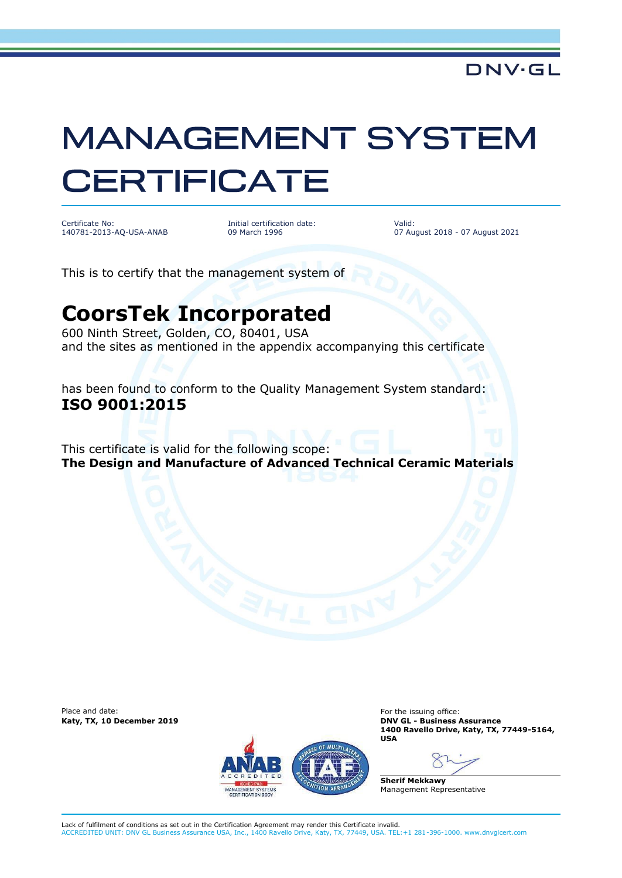## **MANAGEMENT SYSTEM CERTIFICATE**

Certificate No: 140781-2013-AQ-USA-ANAB

Initial certification date: 09 March 1996

Valid: 07 August 2018 - 07 August 2021

This is to certify that the management system of

## **CoorsTek Incorporated**

600 Ninth Street, Golden, CO, 80401, USA and the sites as mentioned in the appendix accompanying this certificate

has been found to conform to the Quality Management System standard: **ISO 9001:2015**

This certificate is valid for the following scope: **The Design and Manufacture of Advanced Technical Ceramic Materials**

Place and date:



For the issuing office: **Katy, TX, 10 December 2019 DNV GL - Business Assurance 1400 Ravello Drive, Katy, TX, 77449-5164, USA**

**Sherif Mekkawy** Management Representative

Lack of fulfilment of conditions as set out in the Certification Agreement may render this Certificate invalid. ACCREDITED UNIT: DNV GL Business Assurance USA, Inc., 1400 Ravello Drive, Katy, TX, 77449, USA. TEL:+1 281-396-1000. www.dnvglcert.com